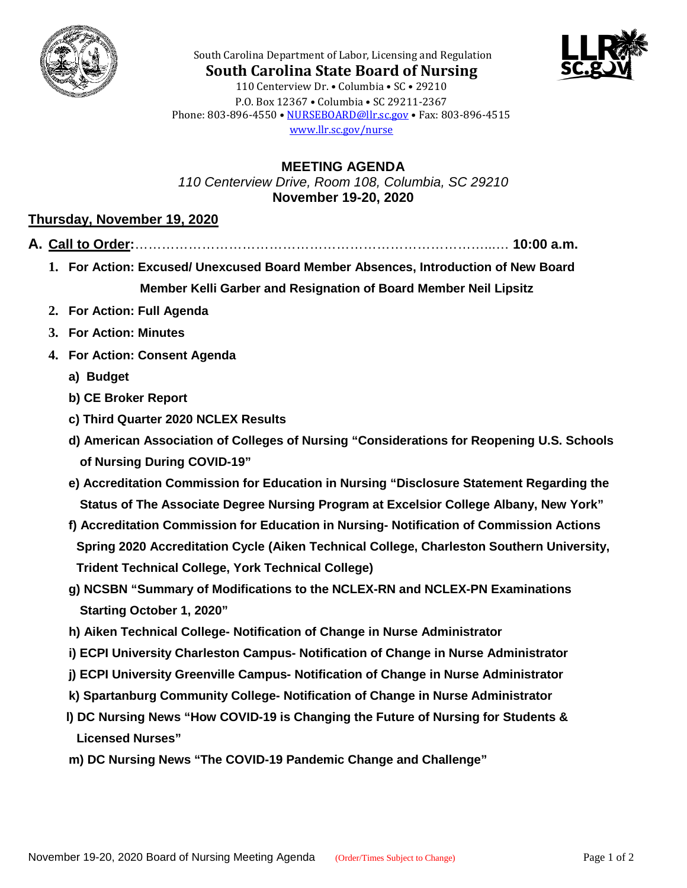



South Carolina Department of Labor, Licensing and Regulation **South Carolina State Board of Nursing** 110 Centerview Dr. • Columbia • SC • 29210 P.O. Box 12367 • Columbia • SC 29211-2367 Phone: 803-896-4550 • [NURSEBOARD@llr.sc.gov](mailto:contactllr@llr.sc.gov) • Fax: 803-896-4515 [www.llr.sc.gov/nurse](http://www.llr.sc.gov/nurse)

**MEETING AGENDA** *110 Centerview Drive, Room 108, Columbia, SC 29210* **November 19-20, 2020**

## **Thursday, November 19, 2020**

- **A. Call to Order:**……………………………………………………………………...… **10:00 a.m.**
	- **1. For Action: Excused/ Unexcused Board Member Absences, Introduction of New Board Member Kelli Garber and Resignation of Board Member Neil Lipsitz**
	- **2. For Action: Full Agenda**
	- **3. For Action: Minutes**
	- **4. For Action: Consent Agenda**
		- **a) Budget**
		- **b) CE Broker Report**
		- **c) Third Quarter 2020 NCLEX Results**
		- **d) American Association of Colleges of Nursing "Considerations for Reopening U.S. Schools of Nursing During COVID-19"**
		- **e) Accreditation Commission for Education in Nursing "Disclosure Statement Regarding the Status of The Associate Degree Nursing Program at Excelsior College Albany, New York"**
		- **f) Accreditation Commission for Education in Nursing- Notification of Commission Actions Spring 2020 Accreditation Cycle (Aiken Technical College, Charleston Southern University, Trident Technical College, York Technical College)**
		- **g) NCSBN "Summary of Modifications to the NCLEX-RN and NCLEX-PN Examinations Starting October 1, 2020"**
		- **h) Aiken Technical College- Notification of Change in Nurse Administrator**
		- **i) ECPI University Charleston Campus- Notification of Change in Nurse Administrator**
		- **j) ECPI University Greenville Campus- Notification of Change in Nurse Administrator**
		- **k) Spartanburg Community College- Notification of Change in Nurse Administrator**
		- **l) DC Nursing News "How COVID-19 is Changing the Future of Nursing for Students & Licensed Nurses"**
		- **m) DC Nursing News "The COVID-19 Pandemic Change and Challenge"**